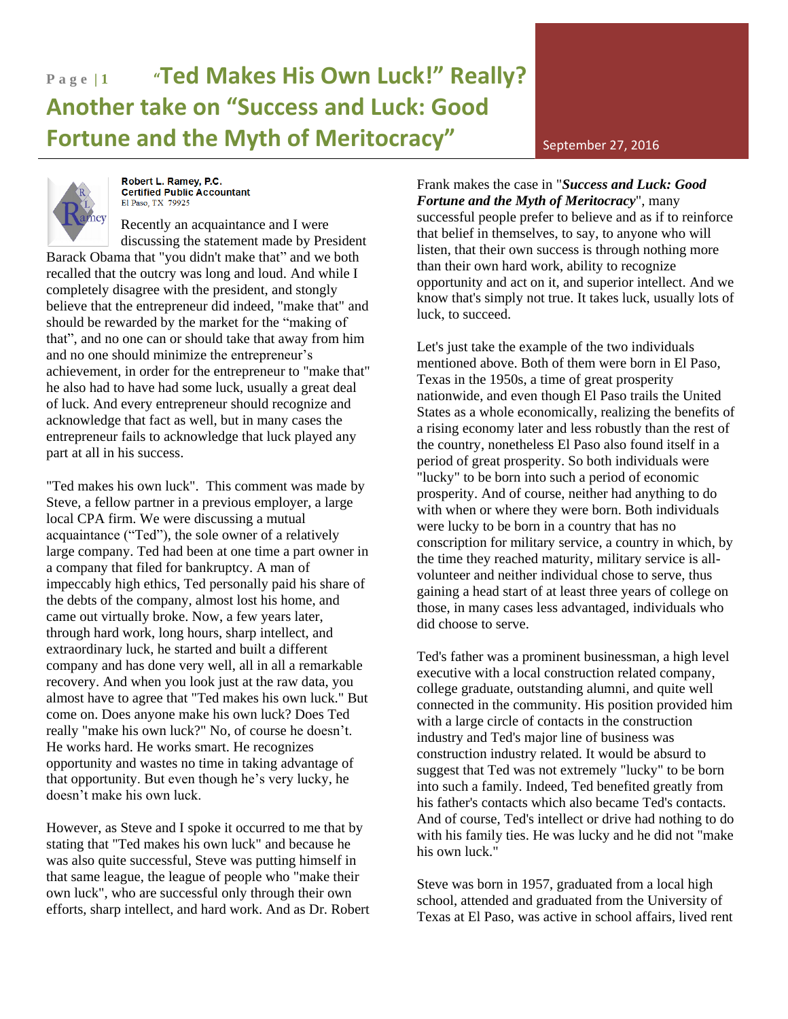## **P a g e | 1 "Ted Makes His Own Luck!" Really? Another take on "Success and Luck: Good Fortune and the Myth of Meritocracy"** September 27, 2016



Robert L. Ramey, P.C. Certified Public Accountant El Paso, TX 79925

Recently an acquaintance and I were discussing the statement made by President Barack Obama that "you didn't make that" and we both recalled that the outcry was long and loud. And while I completely disagree with the president, and stongly believe that the entrepreneur did indeed, "make that" and should be rewarded by the market for the "making of that", and no one can or should take that away from him and no one should minimize the entrepreneur's achievement, in order for the entrepreneur to "make that" he also had to have had some luck, usually a great deal of luck. And every entrepreneur should recognize and acknowledge that fact as well, but in many cases the entrepreneur fails to acknowledge that luck played any part at all in his success.

"Ted makes his own luck". This comment was made by Steve, a fellow partner in a previous employer, a large local CPA firm. We were discussing a mutual acquaintance ("Ted"), the sole owner of a relatively large company. Ted had been at one time a part owner in a company that filed for bankruptcy. A man of impeccably high ethics, Ted personally paid his share of the debts of the company, almost lost his home, and came out virtually broke. Now, a few years later, through hard work, long hours, sharp intellect, and extraordinary luck, he started and built a different company and has done very well, all in all a remarkable recovery. And when you look just at the raw data, you almost have to agree that "Ted makes his own luck." But come on. Does anyone make his own luck? Does Ted really "make his own luck?" No, of course he doesn't. He works hard. He works smart. He recognizes opportunity and wastes no time in taking advantage of that opportunity. But even though he's very lucky, he doesn't make his own luck.

However, as Steve and I spoke it occurred to me that by stating that "Ted makes his own luck" and because he was also quite successful, Steve was putting himself in that same league, the league of people who "make their own luck", who are successful only through their own efforts, sharp intellect, and hard work. And as Dr. Robert Frank makes the case in "*Success and Luck: Good Fortune and the Myth of Meritocracy*", many successful people prefer to believe and as if to reinforce that belief in themselves, to say, to anyone who will listen, that their own success is through nothing more than their own hard work, ability to recognize opportunity and act on it, and superior intellect. And we know that's simply not true. It takes luck, usually lots of luck, to succeed.

Let's just take the example of the two individuals mentioned above. Both of them were born in El Paso, Texas in the 1950s, a time of great prosperity nationwide, and even though El Paso trails the United States as a whole economically, realizing the benefits of a rising economy later and less robustly than the rest of the country, nonetheless El Paso also found itself in a period of great prosperity. So both individuals were "lucky" to be born into such a period of economic prosperity. And of course, neither had anything to do with when or where they were born. Both individuals were lucky to be born in a country that has no conscription for military service, a country in which, by the time they reached maturity, military service is allvolunteer and neither individual chose to serve, thus gaining a head start of at least three years of college on those, in many cases less advantaged, individuals who did choose to serve.

Ted's father was a prominent businessman, a high level executive with a local construction related company, college graduate, outstanding alumni, and quite well connected in the community. His position provided him with a large circle of contacts in the construction industry and Ted's major line of business was construction industry related. It would be absurd to suggest that Ted was not extremely "lucky" to be born into such a family. Indeed, Ted benefited greatly from his father's contacts which also became Ted's contacts. And of course, Ted's intellect or drive had nothing to do with his family ties. He was lucky and he did not "make his own luck."

Steve was born in 1957, graduated from a local high school, attended and graduated from the University of Texas at El Paso, was active in school affairs, lived rent